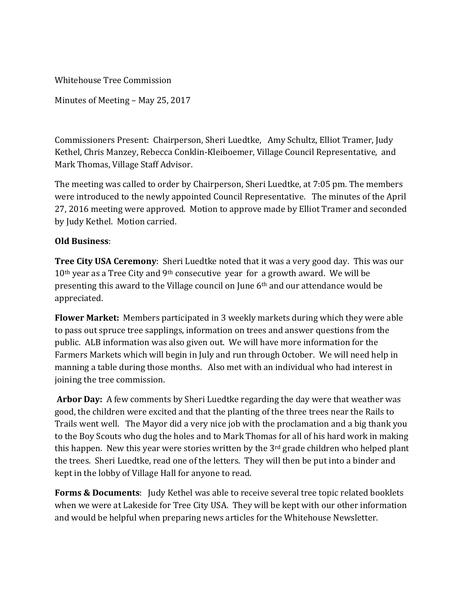Whitehouse Tree Commission

Minutes of Meeting – May 25, 2017

Commissioners Present: Chairperson, Sheri Luedtke, Amy Schultz, Elliot Tramer, Judy Kethel, Chris Manzey, Rebecca Conklin-Kleiboemer, Village Council Representative, and Mark Thomas, Village Staff Advisor.

The meeting was called to order by Chairperson, Sheri Luedtke, at 7:05 pm. The members were introduced to the newly appointed Council Representative. The minutes of the April 27, 2016 meeting were approved. Motion to approve made by Elliot Tramer and seconded by Judy Kethel. Motion carried.

## **Old Business**:

**Tree City USA Ceremony**: Sheri Luedtke noted that it was a very good day. This was our  $10<sup>th</sup>$  year as a Tree City and 9<sup>th</sup> consecutive year for a growth award. We will be presenting this award to the Village council on June 6th and our attendance would be appreciated.

**Flower Market:** Members participated in 3 weekly markets during which they were able to pass out spruce tree sapplings, information on trees and answer questions from the public. ALB information was also given out. We will have more information for the Farmers Markets which will begin in July and run through October. We will need help in manning a table during those months. Also met with an individual who had interest in joining the tree commission.

**Arbor Day:** A few comments by Sheri Luedtke regarding the day were that weather was good, the children were excited and that the planting of the three trees near the Rails to Trails went well. The Mayor did a very nice job with the proclamation and a big thank you to the Boy Scouts who dug the holes and to Mark Thomas for all of his hard work in making this happen. New this year were stories written by the  $3<sup>rd</sup>$  grade children who helped plant the trees. Sheri Luedtke, read one of the letters. They will then be put into a binder and kept in the lobby of Village Hall for anyone to read.

**Forms & Documents**: Judy Kethel was able to receive several tree topic related booklets when we were at Lakeside for Tree City USA. They will be kept with our other information and would be helpful when preparing news articles for the Whitehouse Newsletter.